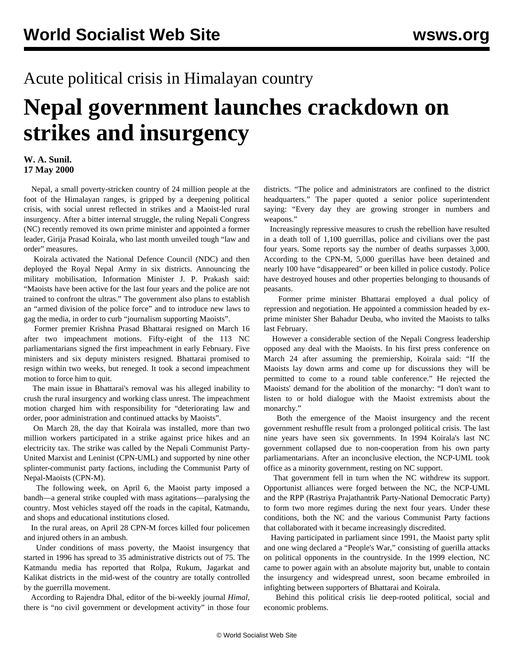## Acute political crisis in Himalayan country

## **Nepal government launches crackdown on strikes and insurgency**

## **W. A. Sunil. 17 May 2000**

 Nepal, a small poverty-stricken country of 24 million people at the foot of the Himalayan ranges, is gripped by a deepening political crisis, with social unrest reflected in strikes and a Maoist-led rural insurgency. After a bitter internal struggle, the ruling Nepali Congress (NC) recently removed its own prime minister and appointed a former leader, Girija Prasad Koirala, who last month unveiled tough "law and order" measures.

 Koirala activated the National Defence Council (NDC) and then deployed the Royal Nepal Army in six districts. Announcing the military mobilisation, Information Minister J. P. Prakash said: "Maoists have been active for the last four years and the police are not trained to confront the ultras." The government also plans to establish an "armed division of the police force" and to introduce new laws to gag the media, in order to curb "journalism supporting Maoists".

 Former premier Krishna Prasad Bhattarai resigned on March 16 after two impeachment motions. Fifty-eight of the 113 NC parliamentarians signed the first impeachment in early February. Five ministers and six deputy ministers resigned. Bhattarai promised to resign within two weeks, but reneged. It took a second impeachment motion to force him to quit.

 The main issue in Bhattarai's removal was his alleged inability to crush the rural insurgency and working class unrest. The impeachment motion charged him with responsibility for "deteriorating law and order, poor administration and continued attacks by Maoists".

 On March 28, the day that Koirala was installed, more than two million workers participated in a strike against price hikes and an electricity tax. The strike was called by the Nepali Communist Party-United Marxist and Leninist (CPN-UML) and supported by nine other splinter-communist party factions, including the Communist Party of Nepal-Maoists (CPN-M).

 The following week, on April 6, the Maoist party imposed a bandh—a general strike coupled with mass agitations—paralysing the country. Most vehicles stayed off the roads in the capital, Katmandu, and shops and educational institutions closed.

 In the rural areas, on April 28 CPN-M forces killed four policemen and injured others in an ambush.

 Under conditions of mass poverty, the Maoist insurgency that started in 1996 has spread to 35 administrative districts out of 75. The Katmandu media has reported that Rolpa, Rukum, Jagarkat and Kalikat districts in the mid-west of the country are totally controlled by the guerrilla movement.

 According to Rajendra Dhal, editor of the bi-weekly journal *Himal,* there is "no civil government or development activity" in those four districts. "The police and administrators are confined to the district headquarters." The paper quoted a senior police superintendent saying: "Every day they are growing stronger in numbers and weapons."

 Increasingly repressive measures to crush the rebellion have resulted in a death toll of 1,100 guerrillas, police and civilians over the past four years. Some reports say the number of deaths surpasses 3,000. According to the CPN-M, 5,000 guerillas have been detained and nearly 100 have "disappeared" or been killed in police custody. Police have destroyed houses and other properties belonging to thousands of peasants.

 Former prime minister Bhattarai employed a dual policy of repression and negotiation. He appointed a commission headed by exprime minister Sher Bahadur Deuba, who invited the Maoists to talks last February.

 However a considerable section of the Nepali Congress leadership opposed any deal with the Maoists. In his first press conference on March 24 after assuming the premiership, Koirala said: "If the Maoists lay down arms and come up for discussions they will be permitted to come to a round table conference." He rejected the Maoists' demand for the abolition of the monarchy: "I don't want to listen to or hold dialogue with the Maoist extremists about the monarchy."

 Both the emergence of the Maoist insurgency and the recent government reshuffle result from a prolonged political crisis. The last nine years have seen six governments. In 1994 Koirala's last NC government collapsed due to non-cooperation from his own party parliamentarians. After an inconclusive election, the NCP-UML took office as a minority government, resting on NC support.

 That government fell in turn when the NC withdrew its support. Opportunist alliances were forged between the NC, the NCP-UML and the RPP (Rastriya Prajathantrik Party-National Democratic Party) to form two more regimes during the next four years. Under these conditions, both the NC and the various Communist Party factions that collaborated with it became increasingly discredited.

 Having participated in parliament since 1991, the Maoist party split and one wing declared a "People's War," consisting of guerilla attacks on political opponents in the countryside. In the 1999 election, NC came to power again with an absolute majority but, unable to contain the insurgency and widespread unrest, soon became embroiled in infighting between supporters of Bhattarai and Koirala.

 Behind this political crisis lie deep-rooted political, social and economic problems.